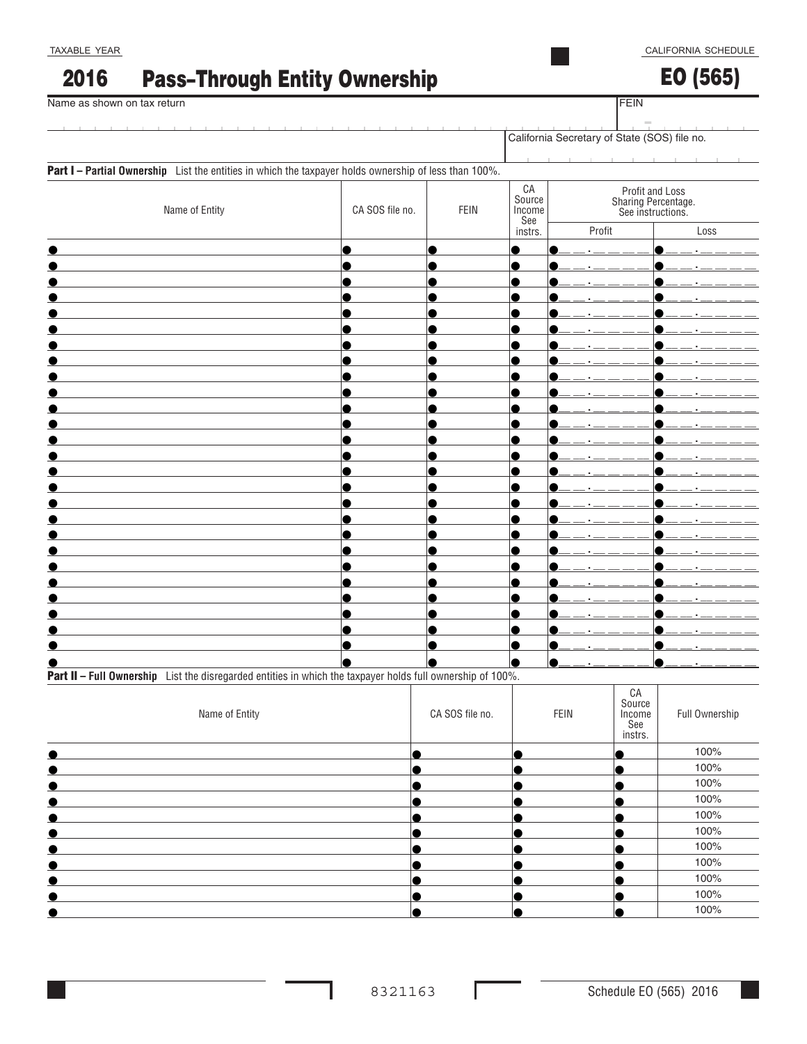### Pass–Through Entity Ownership 2016

TAXABLE YEAR

EO (565)

**FEIN** 

| Name as shown on tax return                                                                           | FEIN            |             |                                              |                                                             |           |
|-------------------------------------------------------------------------------------------------------|-----------------|-------------|----------------------------------------------|-------------------------------------------------------------|-----------|
|                                                                                                       |                 |             | California Secretary of State (SOS) file no. |                                                             |           |
| Part I - Partial Ownership List the entities in which the taxpayer holds ownership of less than 100%. |                 |             |                                              |                                                             |           |
| Name of Entity                                                                                        | CA SOS file no. | <b>FEIN</b> | ${\sf CA}$<br>Source<br>Income<br>See        | Profit and Loss<br>Sharing Percentage.<br>See instructions. |           |
|                                                                                                       |                 |             | instrs.                                      | Profit                                                      | Loss      |
|                                                                                                       | e               | С           | $\bullet$<br>$\bullet$                       | $-1$                                                        | $  +$ $-$ |
|                                                                                                       |                 |             | $\bullet$                                    |                                                             |           |
|                                                                                                       |                 |             | $\bullet$<br>●                               |                                                             |           |
|                                                                                                       |                 |             |                                              |                                                             |           |
|                                                                                                       |                 |             |                                              |                                                             |           |
|                                                                                                       |                 |             |                                              |                                                             |           |
|                                                                                                       |                 |             |                                              |                                                             |           |
|                                                                                                       |                 |             |                                              |                                                             |           |
|                                                                                                       |                 |             |                                              |                                                             |           |
|                                                                                                       |                 |             |                                              |                                                             |           |
|                                                                                                       |                 |             |                                              |                                                             |           |
|                                                                                                       |                 |             | ●                                            |                                                             |           |
|                                                                                                       |                 |             |                                              |                                                             |           |
|                                                                                                       |                 |             | $\bullet$                                    |                                                             |           |
|                                                                                                       |                 |             | $\bullet$                                    |                                                             |           |
|                                                                                                       |                 |             | $\bullet$                                    |                                                             |           |
|                                                                                                       |                 |             |                                              |                                                             |           |
|                                                                                                       |                 |             | ●                                            |                                                             |           |
|                                                                                                       |                 |             |                                              |                                                             |           |
|                                                                                                       |                 |             |                                              |                                                             |           |
|                                                                                                       |                 |             |                                              |                                                             |           |
|                                                                                                       |                 |             |                                              |                                                             |           |
|                                                                                                       |                 |             |                                              |                                                             |           |
|                                                                                                       |                 |             |                                              |                                                             |           |
|                                                                                                       |                 |             |                                              |                                                             |           |

Part II - Full Ownership List the disregarded entities in which the taxpayer holds full ownership of 100%. ℸ

| Name of Entity                                                                                                                                                                                                                     | CA SOS file no. | FEIN | CA<br>Source<br>Income<br>See<br>instrs. | Full Ownership |
|------------------------------------------------------------------------------------------------------------------------------------------------------------------------------------------------------------------------------------|-----------------|------|------------------------------------------|----------------|
|                                                                                                                                                                                                                                    |                 |      |                                          | 100%           |
| $\bullet$ . The contract of the contract of the contract of the contract of the contract of the contract of the contract of the contract of the contract of the contract of the contract of the contract of the contract of the co |                 |      |                                          | 100%           |
| $\bullet$                                                                                                                                                                                                                          |                 |      |                                          | 100%           |
| $\bullet$ . The contract of the contract of $\bullet$                                                                                                                                                                              |                 |      |                                          | 100%           |
| $\bullet$                                                                                                                                                                                                                          |                 |      |                                          | 100%           |
| $\bullet$ and $\bullet$ and $\bullet$                                                                                                                                                                                              |                 |      |                                          | 100%           |
| $\bullet$                                                                                                                                                                                                                          |                 |      |                                          | 100%           |
| $\bullet$                                                                                                                                                                                                                          |                 |      |                                          | 100%           |
|                                                                                                                                                                                                                                    |                 |      |                                          | 100%           |
|                                                                                                                                                                                                                                    |                 |      |                                          | 100%           |
|                                                                                                                                                                                                                                    |                 |      |                                          | 100%           |